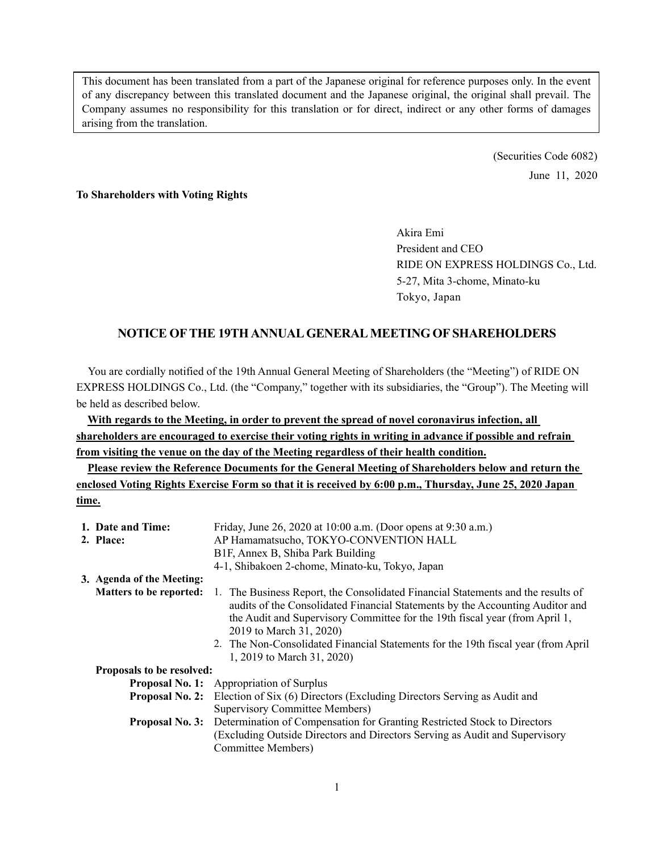This document has been translated from a part of the Japanese original for reference purposes only. In the event of any discrepancy between this translated document and the Japanese original, the original shall prevail. The Company assumes no responsibility for this translation or for direct, indirect or any other forms of damages arising from the translation.

> (Securities Code 6082) June 11, 2020

### **To Shareholders with Voting Rights**

Akira Emi President and CEO RIDE ON EXPRESS HOLDINGS Co., Ltd. 5-27, Mita 3-chome, Minato-ku Tokyo, Japan

## **NOTICE OF THE 19TH ANNUAL GENERAL MEETING OF SHAREHOLDERS**

You are cordially notified of the 19th Annual General Meeting of Shareholders (the "Meeting") of RIDE ON EXPRESS HOLDINGS Co., Ltd. (the "Company," together with its subsidiaries, the "Group"). The Meeting will be held as described below.

**With regards to the Meeting, in order to prevent the spread of novel coronavirus infection, all shareholders are encouraged to exercise their voting rights in writing in advance if possible and refrain from visiting the venue on the day of the Meeting regardless of their health condition.** 

**Please review the Reference Documents for the General Meeting of Shareholders below and return the enclosed Voting Rights Exercise Form so that it is received by 6:00 p.m., Thursday, June 25, 2020 Japan time.** 

| 1. Date and Time:                                                           | Friday, June 26, 2020 at 10:00 a.m. (Door opens at 9:30 a.m.)                                                                                                                                                                                                                                                                                                                                  |  |  |
|-----------------------------------------------------------------------------|------------------------------------------------------------------------------------------------------------------------------------------------------------------------------------------------------------------------------------------------------------------------------------------------------------------------------------------------------------------------------------------------|--|--|
| 2. Place:                                                                   | AP Hamamatsucho, TOKYO-CONVENTION HALL                                                                                                                                                                                                                                                                                                                                                         |  |  |
|                                                                             | B1F, Annex B, Shiba Park Building                                                                                                                                                                                                                                                                                                                                                              |  |  |
|                                                                             | 4-1, Shibakoen 2-chome, Minato-ku, Tokyo, Japan                                                                                                                                                                                                                                                                                                                                                |  |  |
| 3. Agenda of the Meeting:                                                   |                                                                                                                                                                                                                                                                                                                                                                                                |  |  |
| <b>Matters to be reported:</b>                                              | 1. The Business Report, the Consolidated Financial Statements and the results of<br>audits of the Consolidated Financial Statements by the Accounting Auditor and<br>the Audit and Supervisory Committee for the 19th fiscal year (from April 1,<br>2019 to March 31, 2020)<br>2. The Non-Consolidated Financial Statements for the 19th fiscal year (from April<br>1, 2019 to March 31, 2020) |  |  |
| Proposals to be resolved:                                                   |                                                                                                                                                                                                                                                                                                                                                                                                |  |  |
|                                                                             | <b>Proposal No. 1:</b> Appropriation of Surplus                                                                                                                                                                                                                                                                                                                                                |  |  |
|                                                                             | Election of Six (6) Directors (Excluding Directors Serving as Audit and<br><b>Proposal No. 2:</b>                                                                                                                                                                                                                                                                                              |  |  |
|                                                                             | Supervisory Committee Members)                                                                                                                                                                                                                                                                                                                                                                 |  |  |
|                                                                             | <b>Proposal No. 3:</b> Determination of Compensation for Granting Restricted Stock to Directors                                                                                                                                                                                                                                                                                                |  |  |
| (Excluding Outside Directors and Directors Serving as Audit and Supervisory |                                                                                                                                                                                                                                                                                                                                                                                                |  |  |
|                                                                             | Committee Members)                                                                                                                                                                                                                                                                                                                                                                             |  |  |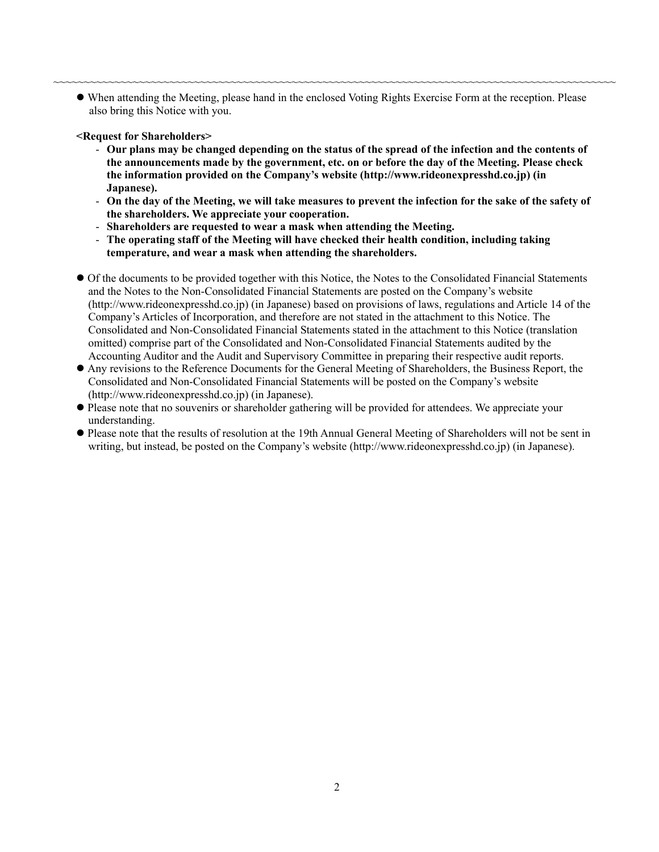When attending the Meeting, please hand in the enclosed Voting Rights Exercise Form at the reception. Please also bring this Notice with you.

~~~~~~~~~~~~~~~~~~~~~~~~~~~~~~~~~~~~~~~~~~~~~~~~~~~~~~~~~~~~~~~~~~~~~~~~~~~~~~~~~~~~~~~~~~~~

### **<Request for Shareholders>**

- **Our plans may be changed depending on the status of the spread of the infection and the contents of the announcements made by the government, etc. on or before the day of the Meeting. Please check the information provided on the Company's website (http://www.rideonexpresshd.co.jp) (in Japanese).**
- **On the day of the Meeting, we will take measures to prevent the infection for the sake of the safety of the shareholders. We appreciate your cooperation.**
- **Shareholders are requested to wear a mask when attending the Meeting.**
- **The operating staff of the Meeting will have checked their health condition, including taking temperature, and wear a mask when attending the shareholders.**
- Of the documents to be provided together with this Notice, the Notes to the Consolidated Financial Statements and the Notes to the Non-Consolidated Financial Statements are posted on the Company's website (http://www.rideonexpresshd.co.jp) (in Japanese) based on provisions of laws, regulations and Article 14 of the Company's Articles of Incorporation, and therefore are not stated in the attachment to this Notice. The Consolidated and Non-Consolidated Financial Statements stated in the attachment to this Notice (translation omitted) comprise part of the Consolidated and Non-Consolidated Financial Statements audited by the Accounting Auditor and the Audit and Supervisory Committee in preparing their respective audit reports.
- Any revisions to the Reference Documents for the General Meeting of Shareholders, the Business Report, the Consolidated and Non-Consolidated Financial Statements will be posted on the Company's website (http://www.rideonexpresshd.co.jp) (in Japanese).
- Please note that no souvenirs or shareholder gathering will be provided for attendees. We appreciate your understanding.
- Please note that the results of resolution at the 19th Annual General Meeting of Shareholders will not be sent in writing, but instead, be posted on the Company's website (http://www.rideonexpresshd.co.jp) (in Japanese).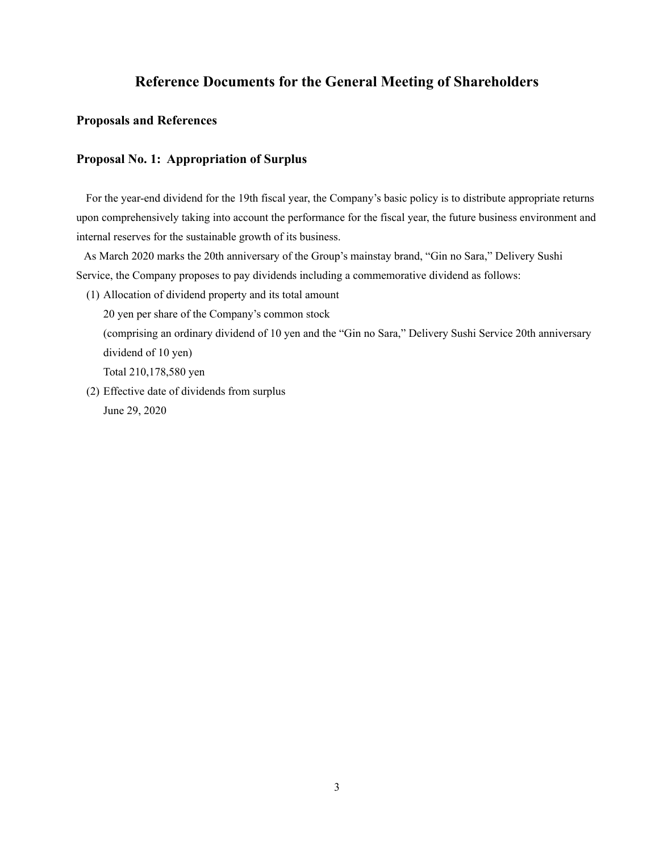# **Reference Documents for the General Meeting of Shareholders**

## **Proposals and References**

## **Proposal No. 1: Appropriation of Surplus**

For the year-end dividend for the 19th fiscal year, the Company's basic policy is to distribute appropriate returns upon comprehensively taking into account the performance for the fiscal year, the future business environment and internal reserves for the sustainable growth of its business.

As March 2020 marks the 20th anniversary of the Group's mainstay brand, "Gin no Sara," Delivery Sushi Service, the Company proposes to pay dividends including a commemorative dividend as follows:

(1) Allocation of dividend property and its total amount

20 yen per share of the Company's common stock

(comprising an ordinary dividend of 10 yen and the "Gin no Sara," Delivery Sushi Service 20th anniversary dividend of 10 yen)

Total 210,178,580 yen

(2) Effective date of dividends from surplus June 29, 2020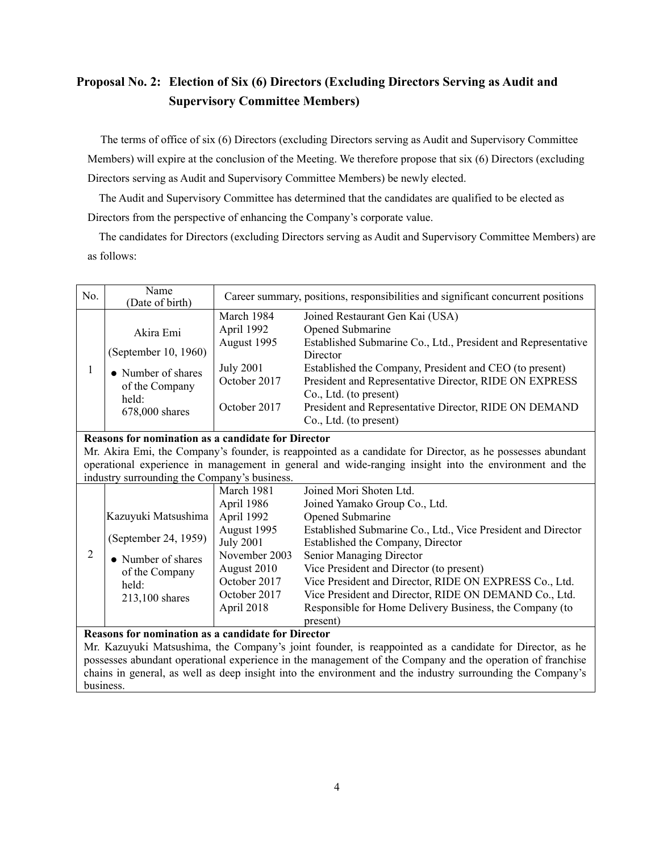# **Proposal No. 2: Election of Six (6) Directors (Excluding Directors Serving as Audit and Supervisory Committee Members)**

The terms of office of six (6) Directors (excluding Directors serving as Audit and Supervisory Committee Members) will expire at the conclusion of the Meeting. We therefore propose that six (6) Directors (excluding Directors serving as Audit and Supervisory Committee Members) be newly elected.

The Audit and Supervisory Committee has determined that the candidates are qualified to be elected as Directors from the perspective of enhancing the Company's corporate value.

The candidates for Directors (excluding Directors serving as Audit and Supervisory Committee Members) are as follows:

| No.                                                                                                        | Name<br>(Date of birth)                                   | Career summary, positions, responsibilities and significant concurrent positions |                                                                                                            |  |  |  |
|------------------------------------------------------------------------------------------------------------|-----------------------------------------------------------|----------------------------------------------------------------------------------|------------------------------------------------------------------------------------------------------------|--|--|--|
|                                                                                                            |                                                           | March 1984                                                                       | Joined Restaurant Gen Kai (USA)                                                                            |  |  |  |
|                                                                                                            | Akira Emi                                                 | April 1992                                                                       | Opened Submarine                                                                                           |  |  |  |
|                                                                                                            |                                                           | August 1995                                                                      | Established Submarine Co., Ltd., President and Representative                                              |  |  |  |
|                                                                                                            | (September 10, 1960)                                      |                                                                                  | Director                                                                                                   |  |  |  |
| $\mathbf{1}$                                                                                               | • Number of shares                                        | <b>July 2001</b>                                                                 | Established the Company, President and CEO (to present)                                                    |  |  |  |
|                                                                                                            | of the Company                                            | October 2017                                                                     | President and Representative Director, RIDE ON EXPRESS                                                     |  |  |  |
|                                                                                                            | held:                                                     |                                                                                  | Co., Ltd. (to present)                                                                                     |  |  |  |
|                                                                                                            | 678,000 shares                                            | October 2017                                                                     | President and Representative Director, RIDE ON DEMAND                                                      |  |  |  |
|                                                                                                            |                                                           |                                                                                  | Co., Ltd. (to present)                                                                                     |  |  |  |
|                                                                                                            | <b>Reasons for nomination as a candidate for Director</b> |                                                                                  |                                                                                                            |  |  |  |
|                                                                                                            |                                                           |                                                                                  | Mr. Akira Emi, the Company's founder, is reappointed as a candidate for Director, as he possesses abundant |  |  |  |
|                                                                                                            |                                                           |                                                                                  | operational experience in management in general and wide-ranging insight into the environment and the      |  |  |  |
|                                                                                                            | industry surrounding the Company's business.              |                                                                                  |                                                                                                            |  |  |  |
|                                                                                                            |                                                           | March 1981                                                                       | Joined Mori Shoten Ltd.                                                                                    |  |  |  |
|                                                                                                            |                                                           | April 1986                                                                       | Joined Yamako Group Co., Ltd.                                                                              |  |  |  |
|                                                                                                            | Kazuyuki Matsushima                                       | April 1992                                                                       | Opened Submarine                                                                                           |  |  |  |
|                                                                                                            | (September 24, 1959)                                      | August 1995                                                                      | Established Submarine Co., Ltd., Vice President and Director                                               |  |  |  |
|                                                                                                            |                                                           | <b>July 2001</b>                                                                 | Established the Company, Director                                                                          |  |  |  |
| $\overline{2}$                                                                                             | • Number of shares                                        | November 2003                                                                    | Senior Managing Director                                                                                   |  |  |  |
|                                                                                                            | of the Company                                            | August 2010                                                                      | Vice President and Director (to present)                                                                   |  |  |  |
|                                                                                                            | held:                                                     | October 2017                                                                     | Vice President and Director, RIDE ON EXPRESS Co., Ltd.                                                     |  |  |  |
|                                                                                                            | 213,100 shares                                            | October 2017                                                                     | Vice President and Director, RIDE ON DEMAND Co., Ltd.                                                      |  |  |  |
|                                                                                                            |                                                           | April 2018                                                                       | Responsible for Home Delivery Business, the Company (to                                                    |  |  |  |
|                                                                                                            |                                                           |                                                                                  | present)                                                                                                   |  |  |  |
| <b>Reasons for nomination as a candidate for Director</b>                                                  |                                                           |                                                                                  |                                                                                                            |  |  |  |
| Mr. Kazuyuki Matsushima, the Company's joint founder, is reappointed as a candidate for Director, as he    |                                                           |                                                                                  |                                                                                                            |  |  |  |
| possesses abundant operational experience in the management of the Company and the operation of franchise  |                                                           |                                                                                  |                                                                                                            |  |  |  |
| chains in general, as well as deep insight into the environment and the industry surrounding the Company's |                                                           |                                                                                  |                                                                                                            |  |  |  |
| business.                                                                                                  |                                                           |                                                                                  |                                                                                                            |  |  |  |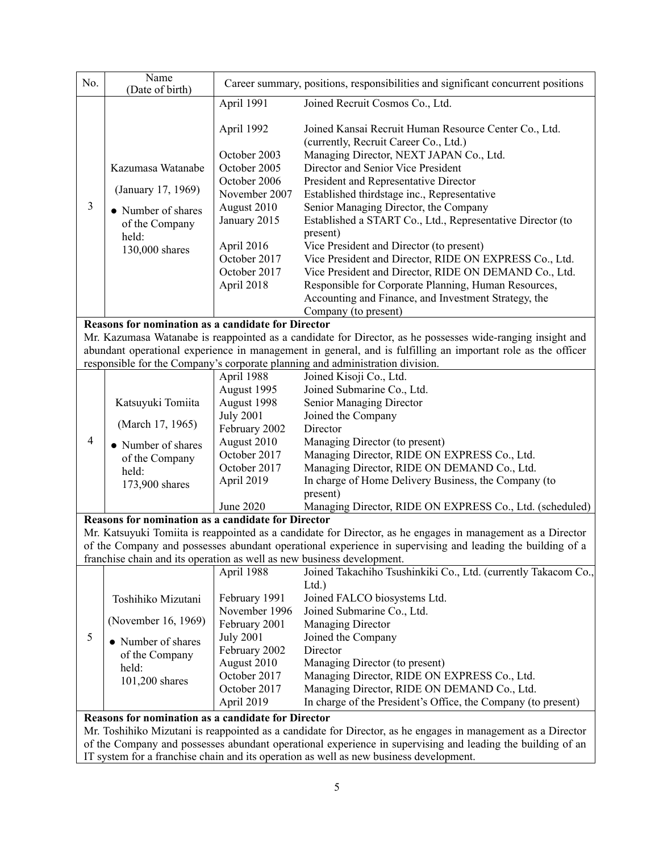| No.                                                                                                                                                                                                  | Name<br>(Date of birth)                                                                                    | Career summary, positions, responsibilities and significant concurrent positions                                                                                       |                                                                                                                                                                                                                                                                                                                                                                                                                                                                                                                                                                                                                                                                                                   |  |  |  |
|------------------------------------------------------------------------------------------------------------------------------------------------------------------------------------------------------|------------------------------------------------------------------------------------------------------------|------------------------------------------------------------------------------------------------------------------------------------------------------------------------|---------------------------------------------------------------------------------------------------------------------------------------------------------------------------------------------------------------------------------------------------------------------------------------------------------------------------------------------------------------------------------------------------------------------------------------------------------------------------------------------------------------------------------------------------------------------------------------------------------------------------------------------------------------------------------------------------|--|--|--|
|                                                                                                                                                                                                      |                                                                                                            | April 1991                                                                                                                                                             | Joined Recruit Cosmos Co., Ltd.                                                                                                                                                                                                                                                                                                                                                                                                                                                                                                                                                                                                                                                                   |  |  |  |
| $\mathfrak{Z}$                                                                                                                                                                                       | Kazumasa Watanabe<br>(January 17, 1969)<br>• Number of shares<br>of the Company<br>held:<br>130,000 shares | April 1992<br>October 2003<br>October 2005<br>October 2006<br>November 2007<br>August 2010<br>January 2015<br>April 2016<br>October 2017<br>October 2017<br>April 2018 | Joined Kansai Recruit Human Resource Center Co., Ltd.<br>(currently, Recruit Career Co., Ltd.)<br>Managing Director, NEXT JAPAN Co., Ltd.<br>Director and Senior Vice President<br>President and Representative Director<br>Established thirdstage inc., Representative<br>Senior Managing Director, the Company<br>Established a START Co., Ltd., Representative Director (to<br>present)<br>Vice President and Director (to present)<br>Vice President and Director, RIDE ON EXPRESS Co., Ltd.<br>Vice President and Director, RIDE ON DEMAND Co., Ltd.<br>Responsible for Corporate Planning, Human Resources,<br>Accounting and Finance, and Investment Strategy, the<br>Company (to present) |  |  |  |
|                                                                                                                                                                                                      | Reasons for nomination as a candidate for Director                                                         |                                                                                                                                                                        |                                                                                                                                                                                                                                                                                                                                                                                                                                                                                                                                                                                                                                                                                                   |  |  |  |
|                                                                                                                                                                                                      |                                                                                                            |                                                                                                                                                                        | Mr. Kazumasa Watanabe is reappointed as a candidate for Director, as he possesses wide-ranging insight and                                                                                                                                                                                                                                                                                                                                                                                                                                                                                                                                                                                        |  |  |  |
|                                                                                                                                                                                                      |                                                                                                            |                                                                                                                                                                        | abundant operational experience in management in general, and is fulfilling an important role as the officer                                                                                                                                                                                                                                                                                                                                                                                                                                                                                                                                                                                      |  |  |  |
|                                                                                                                                                                                                      |                                                                                                            |                                                                                                                                                                        | responsible for the Company's corporate planning and administration division.                                                                                                                                                                                                                                                                                                                                                                                                                                                                                                                                                                                                                     |  |  |  |
|                                                                                                                                                                                                      |                                                                                                            | April 1988                                                                                                                                                             | Joined Kisoji Co., Ltd.                                                                                                                                                                                                                                                                                                                                                                                                                                                                                                                                                                                                                                                                           |  |  |  |
|                                                                                                                                                                                                      |                                                                                                            | August 1995                                                                                                                                                            | Joined Submarine Co., Ltd.                                                                                                                                                                                                                                                                                                                                                                                                                                                                                                                                                                                                                                                                        |  |  |  |
|                                                                                                                                                                                                      | Katsuyuki Tomiita                                                                                          | August 1998                                                                                                                                                            | Senior Managing Director                                                                                                                                                                                                                                                                                                                                                                                                                                                                                                                                                                                                                                                                          |  |  |  |
|                                                                                                                                                                                                      |                                                                                                            | <b>July 2001</b>                                                                                                                                                       | Joined the Company                                                                                                                                                                                                                                                                                                                                                                                                                                                                                                                                                                                                                                                                                |  |  |  |
|                                                                                                                                                                                                      | (March 17, 1965)                                                                                           | February 2002                                                                                                                                                          | Director                                                                                                                                                                                                                                                                                                                                                                                                                                                                                                                                                                                                                                                                                          |  |  |  |
| $\overline{4}$                                                                                                                                                                                       | • Number of shares                                                                                         | August 2010                                                                                                                                                            | Managing Director (to present)                                                                                                                                                                                                                                                                                                                                                                                                                                                                                                                                                                                                                                                                    |  |  |  |
|                                                                                                                                                                                                      | of the Company                                                                                             | October 2017                                                                                                                                                           | Managing Director, RIDE ON EXPRESS Co., Ltd.                                                                                                                                                                                                                                                                                                                                                                                                                                                                                                                                                                                                                                                      |  |  |  |
|                                                                                                                                                                                                      | held:                                                                                                      | October 2017                                                                                                                                                           | Managing Director, RIDE ON DEMAND Co., Ltd.                                                                                                                                                                                                                                                                                                                                                                                                                                                                                                                                                                                                                                                       |  |  |  |
|                                                                                                                                                                                                      | 173,900 shares                                                                                             | April 2019                                                                                                                                                             | In charge of Home Delivery Business, the Company (to                                                                                                                                                                                                                                                                                                                                                                                                                                                                                                                                                                                                                                              |  |  |  |
|                                                                                                                                                                                                      |                                                                                                            | June 2020                                                                                                                                                              | present)<br>Managing Director, RIDE ON EXPRESS Co., Ltd. (scheduled)                                                                                                                                                                                                                                                                                                                                                                                                                                                                                                                                                                                                                              |  |  |  |
|                                                                                                                                                                                                      | Reasons for nomination as a candidate for Director                                                         |                                                                                                                                                                        |                                                                                                                                                                                                                                                                                                                                                                                                                                                                                                                                                                                                                                                                                                   |  |  |  |
|                                                                                                                                                                                                      |                                                                                                            |                                                                                                                                                                        | Mr. Katsuyuki Tomiita is reappointed as a candidate for Director, as he engages in management as a Director                                                                                                                                                                                                                                                                                                                                                                                                                                                                                                                                                                                       |  |  |  |
|                                                                                                                                                                                                      |                                                                                                            |                                                                                                                                                                        | of the Company and possesses abundant operational experience in supervising and leading the building of a                                                                                                                                                                                                                                                                                                                                                                                                                                                                                                                                                                                         |  |  |  |
|                                                                                                                                                                                                      | franchise chain and its operation as well as new business development.                                     |                                                                                                                                                                        |                                                                                                                                                                                                                                                                                                                                                                                                                                                                                                                                                                                                                                                                                                   |  |  |  |
|                                                                                                                                                                                                      |                                                                                                            | April 1988                                                                                                                                                             | Joined Takachiho Tsushinkiki Co., Ltd. (currently Takacom Co.,                                                                                                                                                                                                                                                                                                                                                                                                                                                                                                                                                                                                                                    |  |  |  |
|                                                                                                                                                                                                      |                                                                                                            |                                                                                                                                                                        | Ltd.                                                                                                                                                                                                                                                                                                                                                                                                                                                                                                                                                                                                                                                                                              |  |  |  |
|                                                                                                                                                                                                      | Toshihiko Mizutani                                                                                         | February 1991                                                                                                                                                          | Joined FALCO biosystems Ltd.                                                                                                                                                                                                                                                                                                                                                                                                                                                                                                                                                                                                                                                                      |  |  |  |
|                                                                                                                                                                                                      |                                                                                                            | November 1996                                                                                                                                                          | Joined Submarine Co., Ltd.                                                                                                                                                                                                                                                                                                                                                                                                                                                                                                                                                                                                                                                                        |  |  |  |
|                                                                                                                                                                                                      | (November 16, 1969)                                                                                        | February 2001                                                                                                                                                          | Managing Director                                                                                                                                                                                                                                                                                                                                                                                                                                                                                                                                                                                                                                                                                 |  |  |  |
| 5                                                                                                                                                                                                    | • Number of shares                                                                                         | <b>July 2001</b>                                                                                                                                                       | Joined the Company                                                                                                                                                                                                                                                                                                                                                                                                                                                                                                                                                                                                                                                                                |  |  |  |
|                                                                                                                                                                                                      | of the Company                                                                                             | February 2002                                                                                                                                                          | Director                                                                                                                                                                                                                                                                                                                                                                                                                                                                                                                                                                                                                                                                                          |  |  |  |
|                                                                                                                                                                                                      | held:                                                                                                      | August 2010                                                                                                                                                            | Managing Director (to present)                                                                                                                                                                                                                                                                                                                                                                                                                                                                                                                                                                                                                                                                    |  |  |  |
|                                                                                                                                                                                                      | 101,200 shares                                                                                             | October 2017                                                                                                                                                           | Managing Director, RIDE ON EXPRESS Co., Ltd.                                                                                                                                                                                                                                                                                                                                                                                                                                                                                                                                                                                                                                                      |  |  |  |
|                                                                                                                                                                                                      |                                                                                                            | October 2017                                                                                                                                                           | Managing Director, RIDE ON DEMAND Co., Ltd.                                                                                                                                                                                                                                                                                                                                                                                                                                                                                                                                                                                                                                                       |  |  |  |
|                                                                                                                                                                                                      |                                                                                                            | April 2019                                                                                                                                                             | In charge of the President's Office, the Company (to present)                                                                                                                                                                                                                                                                                                                                                                                                                                                                                                                                                                                                                                     |  |  |  |
|                                                                                                                                                                                                      | <b>Reasons for nomination as a candidate for Director</b>                                                  |                                                                                                                                                                        |                                                                                                                                                                                                                                                                                                                                                                                                                                                                                                                                                                                                                                                                                                   |  |  |  |
| Mr. Toshihiko Mizutani is reappointed as a candidate for Director, as he engages in management as a Director                                                                                         |                                                                                                            |                                                                                                                                                                        |                                                                                                                                                                                                                                                                                                                                                                                                                                                                                                                                                                                                                                                                                                   |  |  |  |
| of the Company and possesses abundant operational experience in supervising and leading the building of an<br>IT system for a franchise chain and its operation as well as new business development. |                                                                                                            |                                                                                                                                                                        |                                                                                                                                                                                                                                                                                                                                                                                                                                                                                                                                                                                                                                                                                                   |  |  |  |
|                                                                                                                                                                                                      |                                                                                                            |                                                                                                                                                                        |                                                                                                                                                                                                                                                                                                                                                                                                                                                                                                                                                                                                                                                                                                   |  |  |  |

5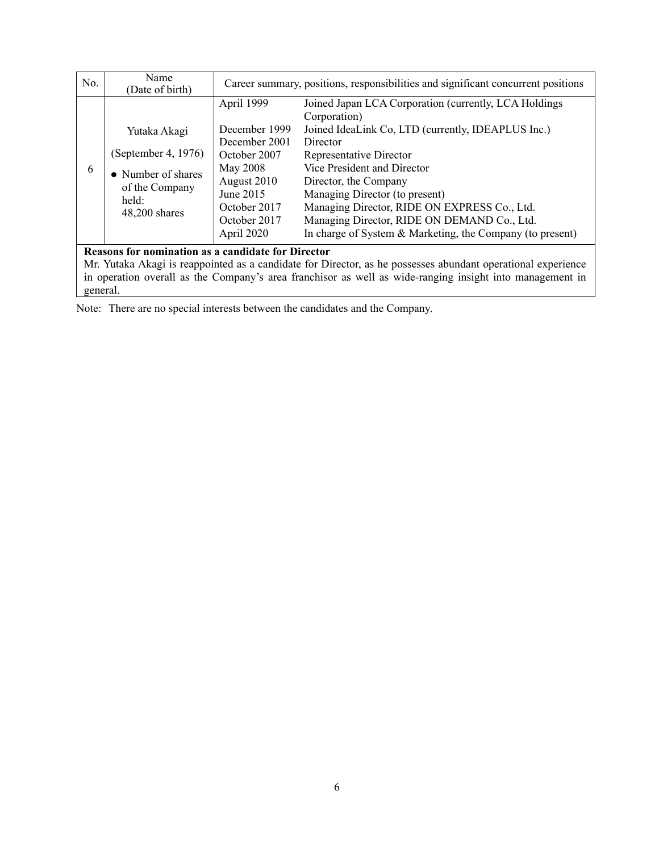| No.                                                                                                                                                                                                                                                                                               | Name<br>(Date of birth)                                                                               | Career summary, positions, responsibilities and significant concurrent positions                                                                   |                                                                                                                                                                                                                                                                                                                                                                                                                          |  |  |
|---------------------------------------------------------------------------------------------------------------------------------------------------------------------------------------------------------------------------------------------------------------------------------------------------|-------------------------------------------------------------------------------------------------------|----------------------------------------------------------------------------------------------------------------------------------------------------|--------------------------------------------------------------------------------------------------------------------------------------------------------------------------------------------------------------------------------------------------------------------------------------------------------------------------------------------------------------------------------------------------------------------------|--|--|
| 6                                                                                                                                                                                                                                                                                                 | Yutaka Akagi<br>(September 4, 1976)<br>• Number of shares<br>of the Company<br>held:<br>48,200 shares | April 1999<br>December 1999<br>December 2001<br>October 2007<br>May 2008<br>August 2010<br>June 2015<br>October 2017<br>October 2017<br>April 2020 | Joined Japan LCA Corporation (currently, LCA Holdings<br>Corporation)<br>Joined IdeaLink Co, LTD (currently, IDEAPLUS Inc.)<br>Director<br>Representative Director<br>Vice President and Director<br>Director, the Company<br>Managing Director (to present)<br>Managing Director, RIDE ON EXPRESS Co., Ltd.<br>Managing Director, RIDE ON DEMAND Co., Ltd.<br>In charge of System & Marketing, the Company (to present) |  |  |
| <b>Reasons for nomination as a candidate for Director</b><br>Mr. Yutaka Akagi is reappointed as a candidate for Director, as he possesses abundant operational experience<br>in operation overall as the Company's area franchisor as well as wide-ranging insight into management in<br>general. |                                                                                                       |                                                                                                                                                    |                                                                                                                                                                                                                                                                                                                                                                                                                          |  |  |

Note: There are no special interests between the candidates and the Company.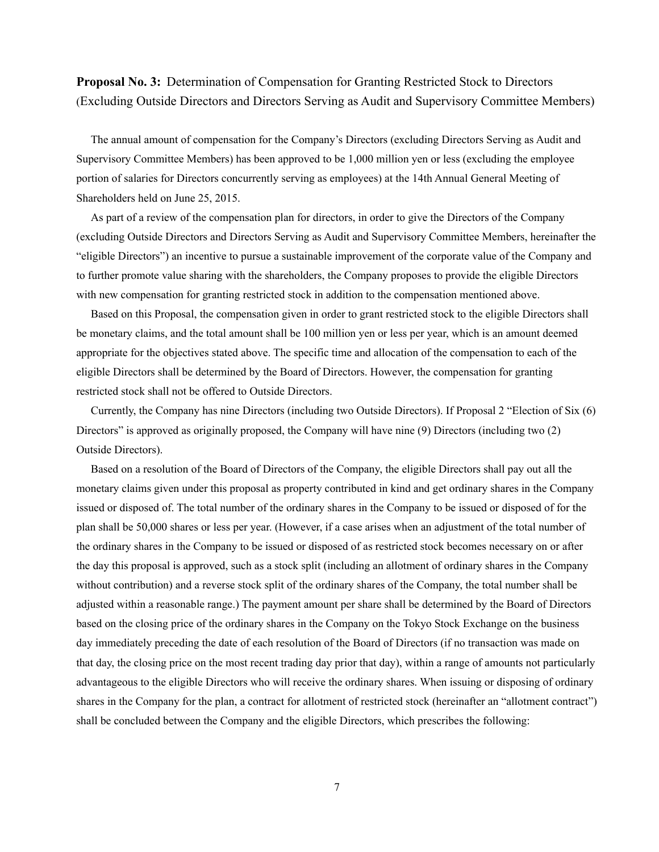**Proposal No. 3:** Determination of Compensation for Granting Restricted Stock to Directors (Excluding Outside Directors and Directors Serving as Audit and Supervisory Committee Members)

The annual amount of compensation for the Company's Directors (excluding Directors Serving as Audit and Supervisory Committee Members) has been approved to be 1,000 million yen or less (excluding the employee portion of salaries for Directors concurrently serving as employees) at the 14th Annual General Meeting of Shareholders held on June 25, 2015.

As part of a review of the compensation plan for directors, in order to give the Directors of the Company (excluding Outside Directors and Directors Serving as Audit and Supervisory Committee Members, hereinafter the "eligible Directors") an incentive to pursue a sustainable improvement of the corporate value of the Company and to further promote value sharing with the shareholders, the Company proposes to provide the eligible Directors with new compensation for granting restricted stock in addition to the compensation mentioned above.

Based on this Proposal, the compensation given in order to grant restricted stock to the eligible Directors shall be monetary claims, and the total amount shall be 100 million yen or less per year, which is an amount deemed appropriate for the objectives stated above. The specific time and allocation of the compensation to each of the eligible Directors shall be determined by the Board of Directors. However, the compensation for granting restricted stock shall not be offered to Outside Directors.

Currently, the Company has nine Directors (including two Outside Directors). If Proposal 2 "Election of Six (6) Directors" is approved as originally proposed, the Company will have nine (9) Directors (including two (2) Outside Directors).

Based on a resolution of the Board of Directors of the Company, the eligible Directors shall pay out all the monetary claims given under this proposal as property contributed in kind and get ordinary shares in the Company issued or disposed of. The total number of the ordinary shares in the Company to be issued or disposed of for the plan shall be 50,000 shares or less per year. (However, if a case arises when an adjustment of the total number of the ordinary shares in the Company to be issued or disposed of as restricted stock becomes necessary on or after the day this proposal is approved, such as a stock split (including an allotment of ordinary shares in the Company without contribution) and a reverse stock split of the ordinary shares of the Company, the total number shall be adjusted within a reasonable range.) The payment amount per share shall be determined by the Board of Directors based on the closing price of the ordinary shares in the Company on the Tokyo Stock Exchange on the business day immediately preceding the date of each resolution of the Board of Directors (if no transaction was made on that day, the closing price on the most recent trading day prior that day), within a range of amounts not particularly advantageous to the eligible Directors who will receive the ordinary shares. When issuing or disposing of ordinary shares in the Company for the plan, a contract for allotment of restricted stock (hereinafter an "allotment contract") shall be concluded between the Company and the eligible Directors, which prescribes the following: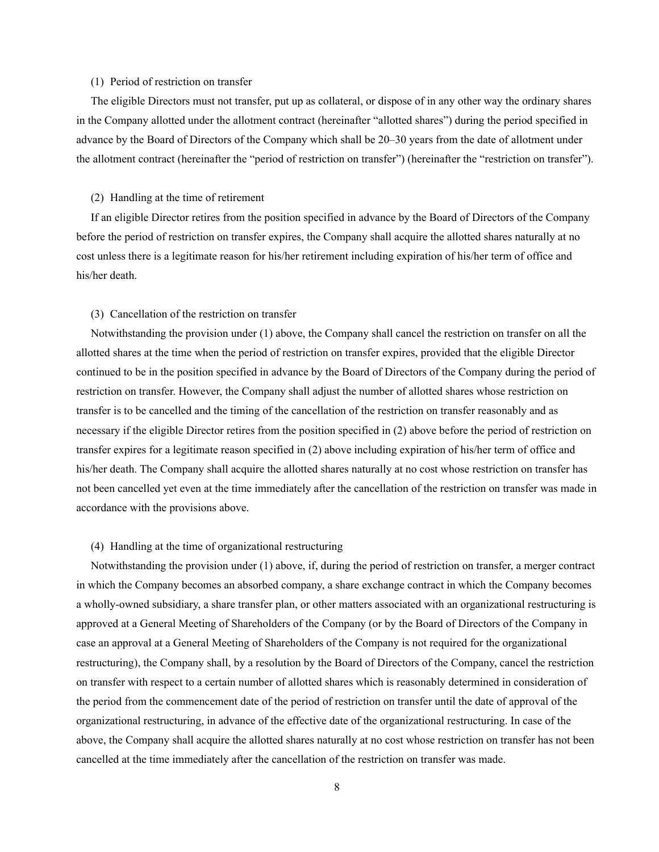### (1) Period of restriction on transfer

The eligible Directors must not transfer, put up as collateral, or dispose of in any other way the ordinary shares in the Company allotted under the allotment contract (hereinafter "allotted shares") during the period specified in advance by the Board of Directors of the Company which shall be 20–30 years from the date of allotment under the allotment contract (hereinafter the "period of restriction on transfer") (hereinafter the "restriction on transfer").

#### (2) Handling at the time of retirement

If an eligible Director retires from the position specified in advance by the Board of Directors of the Company before the period of restriction on transfer expires, the Company shall acquire the allotted shares naturally at no cost unless there is a legitimate reason for his/her retirement including expiration of his/her term of office and his/her death.

### (3) Cancellation of the restriction on transfer

Notwithstanding the provision under (1) above, the Company shall cancel the restriction on transfer on all the allotted shares at the time when the period of restriction on transfer expires, provided that the eligible Director continued to be in the position specified in advance by the Board of Directors of the Company during the period of restriction on transfer. However, the Company shall adjust the number of allotted shares whose restriction on transfer is to be cancelled and the timing of the cancellation of the restriction on transfer reasonably and as necessary if the eligible Director retires from the position specified in (2) above before the period of restriction on transfer expires for a legitimate reason specified in (2) above including expiration of his/her term of office and his/her death. The Company shall acquire the allotted shares naturally at no cost whose restriction on transfer has not been cancelled yet even at the time immediately after the cancellation of the restriction on transfer was made in accordance with the provisions above.

#### (4) Handling at the time of organizational restructuring

Notwithstanding the provision under (1) above, if, during the period of restriction on transfer, a merger contract in which the Company becomes an absorbed company, a share exchange contract in which the Company becomes a wholly-owned subsidiary, a share transfer plan, or other matters associated with an organizational restructuring is approved at a General Meeting of Shareholders of the Company (or by the Board of Directors of the Company in case an approval at a General Meeting of Shareholders of the Company is not required for the organizational restructuring), the Company shall, by a resolution by the Board of Directors of the Company, cancel the restriction on transfer with respect to a certain number of allotted shares which is reasonably determined in consideration of the period from the commencement date of the period of restriction on transfer until the date of approval of the organizational restructuring, in advance of the effective date of the organizational restructuring. In case of the above, the Company shall acquire the allotted shares naturally at no cost whose restriction on transfer has not been cancelled at the time immediately after the cancellation of the restriction on transfer was made.